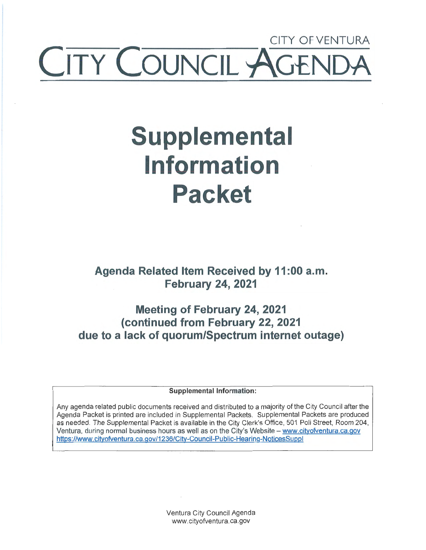## CITY OF VENTURA **ITY COUNCIL AG**

## **Supplemental Information Packet**

**Agenda Related Item Received by 11 :00 a.m. February 24, 2021** 

**Meeting of February 24, 2021 (continued from February 22, 2021 due to a lack of quorum/Spectrum internet outage)** 

**Supplemental Information:** 

Any agenda related public documents received and distributed to a majority of the City Council after the Agenda Packet is printed are included in Supplemental Packets. Supplemental Packets are produced as needed. The Supplemental Packet is available in the City Clerk's Office, 501 Poli Street, Room 204, Ventura, during normal business hours as well as on the City's Website - www.cityofventura.ca.gov https://www.cityofventura.ca.gov/1236/City-Council-Public-Hearing-NoticesSuppl